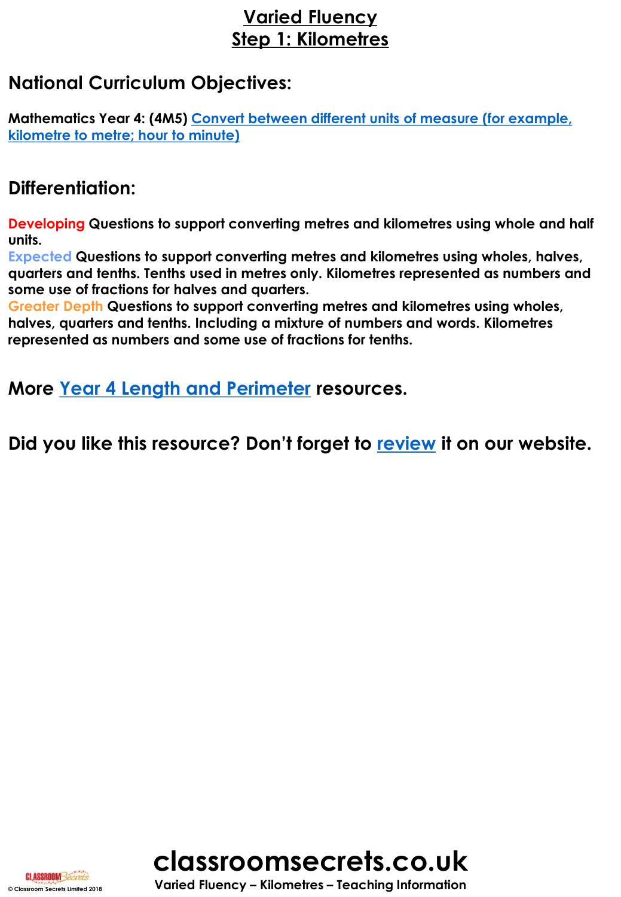# **Varied Fluency Step 1: Kilometres**

## **National Curriculum Objectives:**

**[Mathematics Year 4: \(4M5\) Convert between different units of measure \(for example,](https://classroomsecrets.co.uk/content-domain-filter/?fwp_contentdomain=4m5)  kilometre to metre; hour to minute)**

## **Differentiation:**

**Developing Questions to support converting metres and kilometres using whole and half units.**

**Expected Questions to support converting metres and kilometres using wholes, halves, quarters and tenths. Tenths used in metres only. Kilometres represented as numbers and some use of fractions for halves and quarters.**

**Greater Depth Questions to support converting metres and kilometres using wholes, halves, quarters and tenths. Including a mixture of numbers and words. Kilometres represented as numbers and some use of fractions for tenths.**

**More [Year 4 Length and Perimeter](https://classroomsecrets.co.uk/category/maths/year-4/autumn-block-3-length-and-perimeter/) resources.**

**Did you like this resource? Don't forget to [review](https://classroomsecrets.co.uk/kilometres-year-4-length-and-perimeter-free-resource-pack/) it on our website.**





**© Classroom Secrets Limited 2018 Varied Fluency – Kilometres – Teaching Information**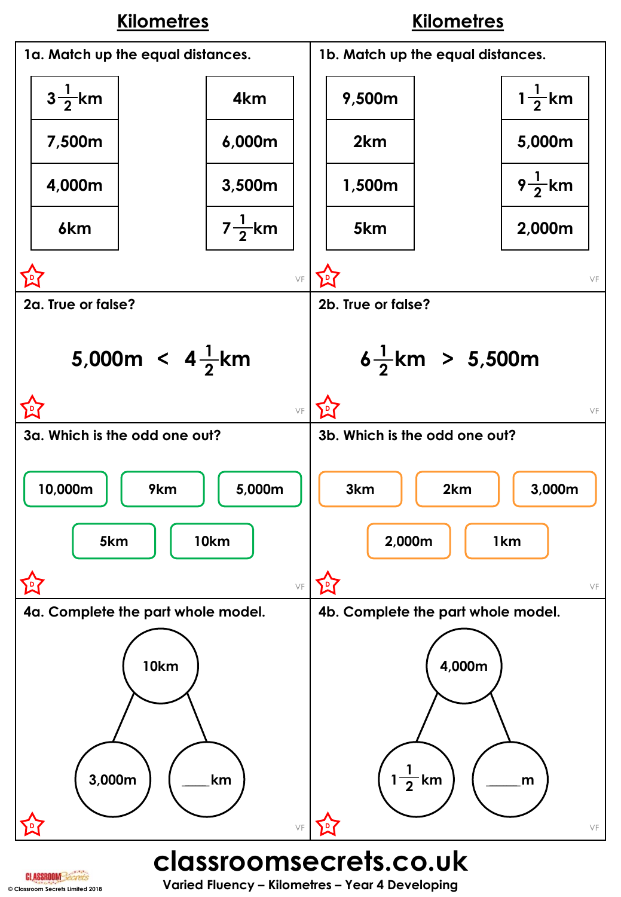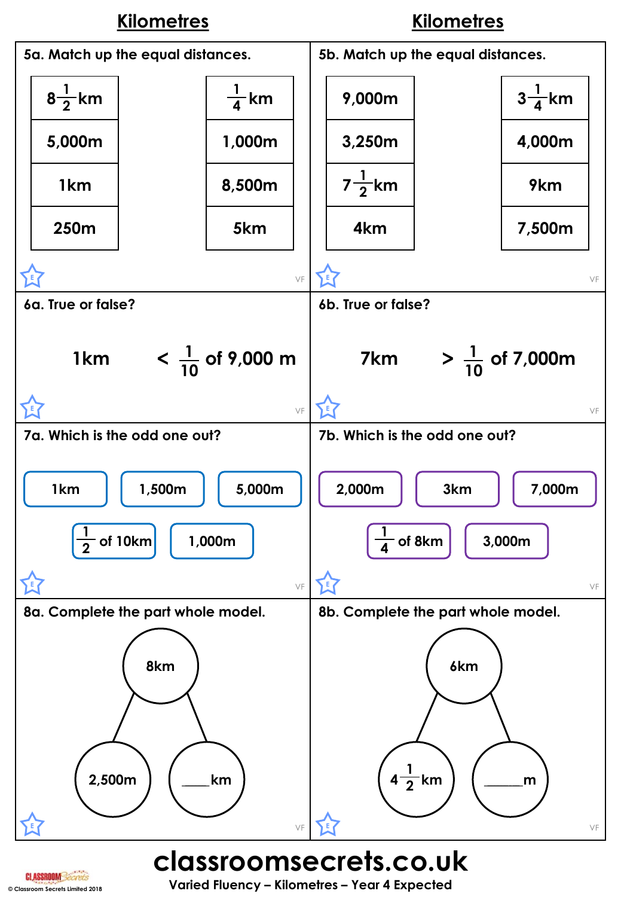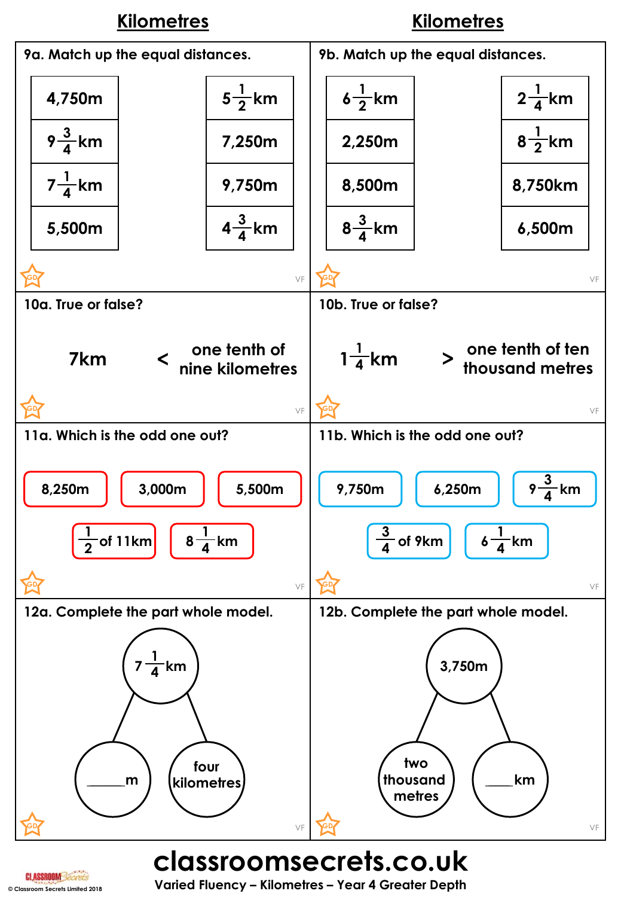